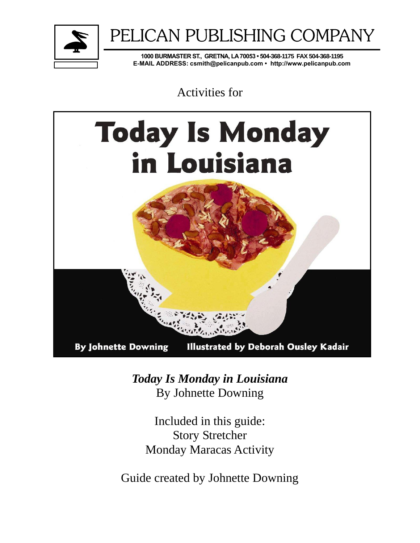

# PELICAN PUBLISHING COMPANY

**1000 BURMASTER ST., GRETNA, LA 70053 • 504-368-1175 FAX 504-368-1195 E-MAIL ADDRESS: csmith@pelicanpub.com • http://www.pelicanpub.com**

Activities for



*Today Is Monday in Louisiana*  By Johnette Downing

Included in this guide: Story Stretcher Monday Maracas Activity

Guide created by Johnette Downing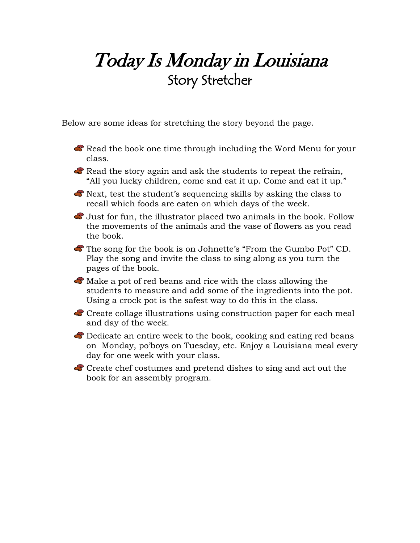## Today Is Monday in Louisiana Story Stretcher

Below are some ideas for stretching the story beyond the page.

- Read the book one time through including the Word Menu for your class.
- Read the story again and ask the students to repeat the refrain, "All you lucky children, come and eat it up. Come and eat it up."
- Next, test the student's sequencing skills by asking the class to recall which foods are eaten on which days of the week.
- Just for fun, the illustrator placed two animals in the book. Follow the movements of the animals and the vase of flowers as you read the book.
- The song for the book is on Johnette's "From the Gumbo Pot" CD. Play the song and invite the class to sing along as you turn the pages of the book.
- $\bullet$  Make a pot of red beans and rice with the class allowing the students to measure and add some of the ingredients into the pot. Using a crock pot is the safest way to do this in the class.
- Create collage illustrations using construction paper for each meal and day of the week.
- B Dedicate an entire week to the book, cooking and eating red beans on Monday, po'boys on Tuesday, etc. Enjoy a Louisiana meal every day for one week with your class.
- Create chef costumes and pretend dishes to sing and act out the book for an assembly program.